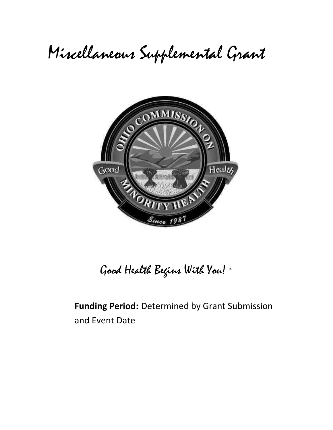# Miscellaneous Supplemental Grant



Good Health Begins With You! ®

**Funding Period:** Determined by Grant Submission and Event Date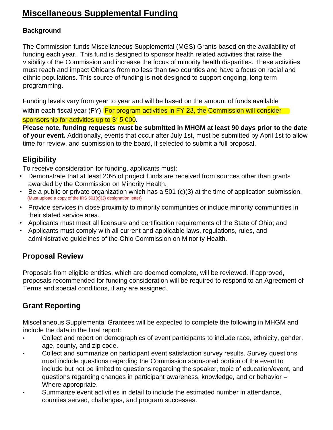## **Miscellaneous Supplemental Funding**

### **Background**

The Commission funds Miscellaneous Supplemental (MGS) Grants based on the availability of funding each year. This fund is designed to sponsor health related activities that raise the visibility of the Commission and increase the focus of minority health disparities. These activities must reach and impact Ohioans from no less than two counties and have a focus on racial and ethnic populations. This source of funding is **not** designed to support ongoing, long term programming.

Funding levels vary from year to year and will be based on the amount of funds available within each fiscal year (FY). For program activities in FY 23, the Commission will consider sponsorship for activities up to \$15,000.

**Please note, funding requests must be submitted in MHGM at least 90 days prior to the date of your event.** Additionally, events that occur after July 1st, must be submitted by April 1st to allow time for review, and submission to the board, if selected to submit a full proposal.

## **Eligibility**

To receive consideration for funding, applicants must:

- Demonstrate that at least 20% of project funds are received from sources other than grants awarded by the Commission on Minority Health.
- Be a public or private organization which has a 501 (c)(3) at the time of application submission. (Must upload a copy of the IRS 501(c)(3) designation letter)
- Provide services in close proximity to minority communities or include minority communities in their stated service area.
- Applicants must meet all licensure and certification requirements of the State of Ohio; and
- Applicants must comply with all current and applicable laws, regulations, rules, and administrative guidelines of the Ohio Commission on Minority Health.

## **Proposal Review**

Proposals from eligible entities, which are deemed complete, will be reviewed. If approved, proposals recommended for funding consideration will be required to respond to an Agreement of Terms and special conditions, if any are assigned.

## **Grant Reporting**

Miscellaneous Supplemental Grantees will be expected to complete the following in MHGM and include the data in the final report:

- Collect and report on demographics of event participants to include race, ethnicity, gender, age, county, and zip code.
- Collect and summarize on participant event satisfaction survey results. Survey questions must include questions regarding the Commission sponsored portion of the event to include but not be limited to questions regarding the speaker, topic of education/event, and questions regarding changes in participant awareness, knowledge, and or behavior – Where appropriate.
- Summarize event activities in detail to include the estimated number in attendance, counties served, challenges, and program successes.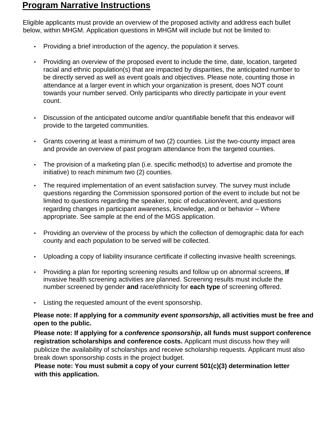## **Program Narrative Instructions**

Eligible applicants must provide an overview of the proposed activity and address each bullet below, within MHGM. Application questions in MHGM will include but not be limited to:

- Providing a brief introduction of the agency, the population it serves.
- Providing an overview of the proposed event to include the time, date, location, targeted racial and ethnic population(s) that are impacted by disparities, the anticipated number to be directly served as well as event goals and objectives. Please note, counting those in attendance at a larger event in which your organization is present, does NOT count towards your number served. Only participants who directly participate in your event count.
- Discussion of the anticipated outcome and/or quantifiable benefit that this endeavor will provide to the targeted communities.
- Grants covering at least a minimum of two (2) counties. List the two-county impact area and provide an overview of past program attendance from the targeted counties.
- The provision of a marketing plan (i.e. specific method(s) to advertise and promote the initiative) to reach minimum two (2) counties.
- The required implementation of an event satisfaction survey. The survey must include questions regarding the Commission sponsored portion of the event to include but not be limited to questions regarding the speaker, topic of education/event, and questions regarding changes in participant awareness, knowledge, and or behavior – Where appropriate. See sample at the end of the MGS application.
- Providing an overview of the process by which the collection of demographic data for each county and each population to be served will be collected.
- Uploading a copy of liability insurance certificate if collecting invasive health screenings.
- Providing a plan for reporting screening results and follow up on abnormal screens, **If** invasive health screening activities are planned. Screening results must include the number screened by gender **and** race/ethnicity for **each type** of screening offered.
- Listing the requested amount of the event sponsorship.

#### **Please note: If applying for a** *community event sponsorship***, all activities must be free and open to the public.**

 **Please note: If applying for a** *conference sponsorship***, all funds must support conference registration scholarships and conference costs.** Applicant must discuss how they will publicize the availability of scholarships and receive scholarship requests. Applicant must also break down sponsorship costs in the project budget.

 **Please note: You must submit a copy of your current 501(c)(3) determination letter with this application.**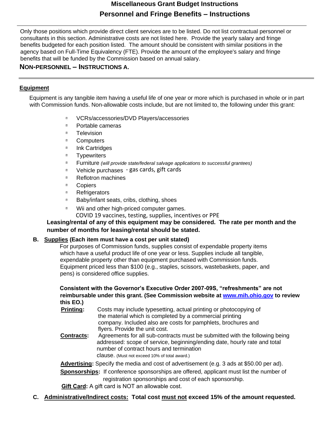#### **Miscellaneous Grant Budget Instructions Personnel and Fringe Benefits – Instructions**

Only those positions which provide direct client services are to be listed. Do not list contractual personnel or consultants in this section. Administrative costs are not listed here. Provide the yearly salary and fringe benefits budgeted for each position listed. The amount should be consistent with similar positions in the agency based on Full-Time Equivalency (FTE). Provide the amount of the employee's salary and fringe benefits that will be funded by the Commission based on annual salary.

#### **NON-PERSONNEL – INSTRUCTIONS A.**

#### **Equipment**

Equipment is any tangible item having a useful life of one year or more which is purchased in whole or in part with Commission funds. Non-allowable costs include, but are not limited to, the following under this grant:

- $\overline{\mathbb{R}}$ VCRs/accessories/DVD Players/accessories
- $\overline{R}$ Portable cameras
- **Television**  $\mathbb{R}$
- $\overline{2}$ **Computers**
- $\overline{\mathbf{2}}$ Ink Cartridges
- $\overline{\mathbf{2}}$ **Typewriters**
- $\overline{2}$ Furniture *(will provide state/federal salvage applications to successful grantees)*
- Vehicle purchases gas cards, gift cards $\overline{R}$
- Reflotron machines  $\overline{\mathbf{2}}$
- $\overline{\mathbf{2}}$ Copiers
- $\overline{2}$ **Refrigerators**
- $\overline{2}$ Baby/infant seats, cribs, clothing, shoes
- Wii and other high-priced computer games.  $\mathbb{R}$ 
	- COVID 19 vaccines, testing, supplies, incentives or PPE

#### **Leasing/rental of any of this equipment may be considered. The rate per month and the number of months for leasing/rental should be stated.**

#### **B. Supplies (Each item must have a cost per unit stated)**

For purposes of Commission funds, supplies consist of expendable property items which have a useful product life of one year or less. Supplies include all tangible, expendable property other than equipment purchased with Commission funds. Equipment priced less than \$100 (e.g., staples, scissors, wastebaskets, paper, and pens) is considered office supplies.

#### **Consistent with the Governor's Executive Order 2007-09S, "refreshments" are not reimbursable under this grant. (See Commission website [at www.mih.ohio.gov](http://www.mih.ohio.gov/) [to](http://www.mih.ohio.gov/) review this EO.)**

- **Printing:** Costs may include typesetting, actual printing or photocopying of the material which is completed by a commercial printing company. Included also are costs for pamphlets, brochures and flyers. Provide the unit cost.
- **Contracts:** Agreements for all sub-contracts must be submitted with the following being addressed: scope of service, beginning/ending date, hourly rate and total number of contract hours and termination clause. (Must not exceed 10% of total award.)

**Advertising:** Specify the media and cost of advertisement (e.g. 3 ads at \$50.00 per ad).

**Sponsorships:** If conference sponsorships are offered, applicant must list the number of registration sponsorships and cost of each sponsorship.

**Gift Card:** A gift card is NOT an allowable cost.

**C. Administrative/Indirect costs: Total cost must not exceed 15% of the amount requested.**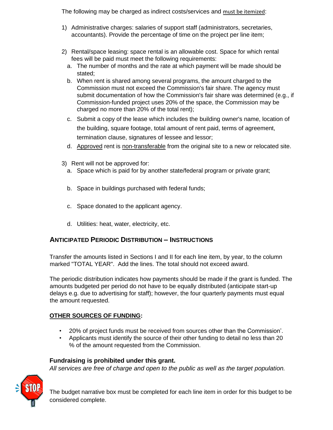The following may be charged as indirect costs/services and must be itemized:

- 1) Administrative charges: salaries of support staff (administrators, secretaries, accountants). Provide the percentage of time on the project per line item;
- 2) Rental/space leasing: space rental is an allowable cost. Space for which rental fees will be paid must meet the following requirements:
	- a. The number of months and the rate at which payment will be made should be stated;
	- b. When rent is shared among several programs, the amount charged to the Commission must not exceed the Commission's fair share. The agency must submit documentation of how the Commission's fair share was determined (e.g., if Commission-funded project uses 20% of the space, the Commission may be charged no more than 20% of the total rent);
	- c. Submit a copy of the lease which includes the building owner's name, location of the building, square footage, total amount of rent paid, terms of agreement, termination clause, signatures of lessee and lessor;
	- d. Approved rent is non-transferable from the original site to a new or relocated site.
- 3) Rent will not be approved for:
	- a. Space which is paid for by another state/federal program or private grant;
	- b. Space in buildings purchased with federal funds;
	- c. Space donated to the applicant agency.
	- d. Utilities: heat, water, electricity, etc.

#### **ANTICIPATED PERIODIC DISTRIBUTION – INSTRUCTIONS**

Transfer the amounts listed in Sections I and II for each line item, by year, to the column marked "TOTAL YEAR". Add the lines. The total should not exceed award.

The periodic distribution indicates how payments should be made if the grant is funded. The amounts budgeted per period do not have to be equally distributed (anticipate start-up delays e.g. due to advertising for staff); however, the four quarterly payments must equal the amount requested.

#### **OTHER SOURCES OF FUNDING:**

- 20% of project funds must be received from sources other than the Commission'.
- Applicants must identify the source of their other funding to detail no less than 20 % of the amount requested from the Commission.

#### **Fundraising is prohibited under this grant.**

*All services are free of charge and open to the public as well as the target population.* 



The budget narrative box must be completed for each line item in order for this budget to be considered complete.